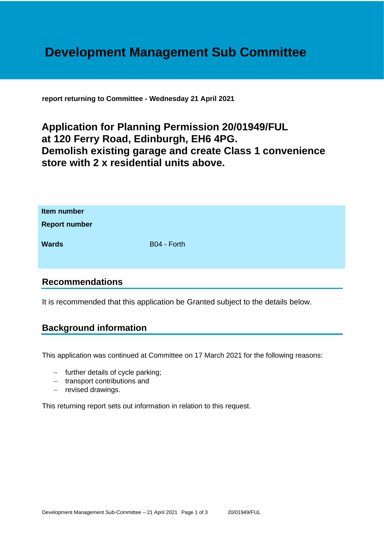# **Development Management Sub Committee**

**report returning to Committee - Wednesday 21 April 2021**

## **Application for Planning Permission 20/01949/FUL at 120 Ferry Road, Edinburgh, EH6 4PG. Demolish existing garage and create Class 1 convenience store with 2 x residential units above.**

| Item number<br><b>Report number</b> |             |
|-------------------------------------|-------------|
| <b>Wards</b>                        | B04 - Forth |

## **Recommendations**

It is recommended that this application be Granted subject to the details below.

## **Background information**

This application was continued at Committee on 17 March 2021 for the following reasons:

- − further details of cycle parking;
- − transport contributions and
- − revised drawings.

This returning report sets out information in relation to this request.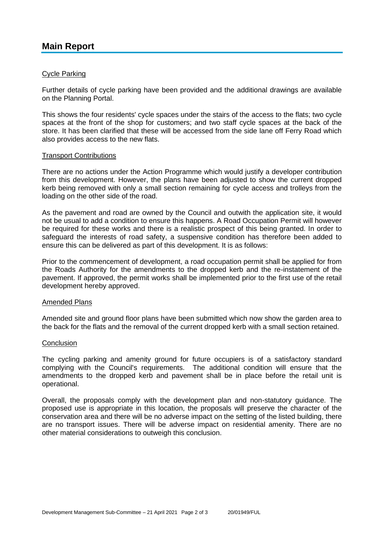#### Cycle Parking

Further details of cycle parking have been provided and the additional drawings are available on the Planning Portal.

This shows the four residents' cycle spaces under the stairs of the access to the flats; two cycle spaces at the front of the shop for customers; and two staff cycle spaces at the back of the store. It has been clarified that these will be accessed from the side lane off Ferry Road which also provides access to the new flats.

#### Transport Contributions

There are no actions under the Action Programme which would justify a developer contribution from this development. However, the plans have been adjusted to show the current dropped kerb being removed with only a small section remaining for cycle access and trolleys from the loading on the other side of the road.

As the pavement and road are owned by the Council and outwith the application site, it would not be usual to add a condition to ensure this happens. A Road Occupation Permit will however be required for these works and there is a realistic prospect of this being granted. In order to safeguard the interests of road safety, a suspensive condition has therefore been added to ensure this can be delivered as part of this development. It is as follows:

Prior to the commencement of development, a road occupation permit shall be applied for from the Roads Authority for the amendments to the dropped kerb and the re-instatement of the pavement. If approved, the permit works shall be implemented prior to the first use of the retail development hereby approved.

#### Amended Plans

Amended site and ground floor plans have been submitted which now show the garden area to the back for the flats and the removal of the current dropped kerb with a small section retained.

#### **Conclusion**

The cycling parking and amenity ground for future occupiers is of a satisfactory standard complying with the Council's requirements. The additional condition will ensure that the amendments to the dropped kerb and pavement shall be in place before the retail unit is operational.

Overall, the proposals comply with the development plan and non-statutory guidance. The proposed use is appropriate in this location, the proposals will preserve the character of the conservation area and there will be no adverse impact on the setting of the listed building, there are no transport issues. There will be adverse impact on residential amenity. There are no other material considerations to outweigh this conclusion.